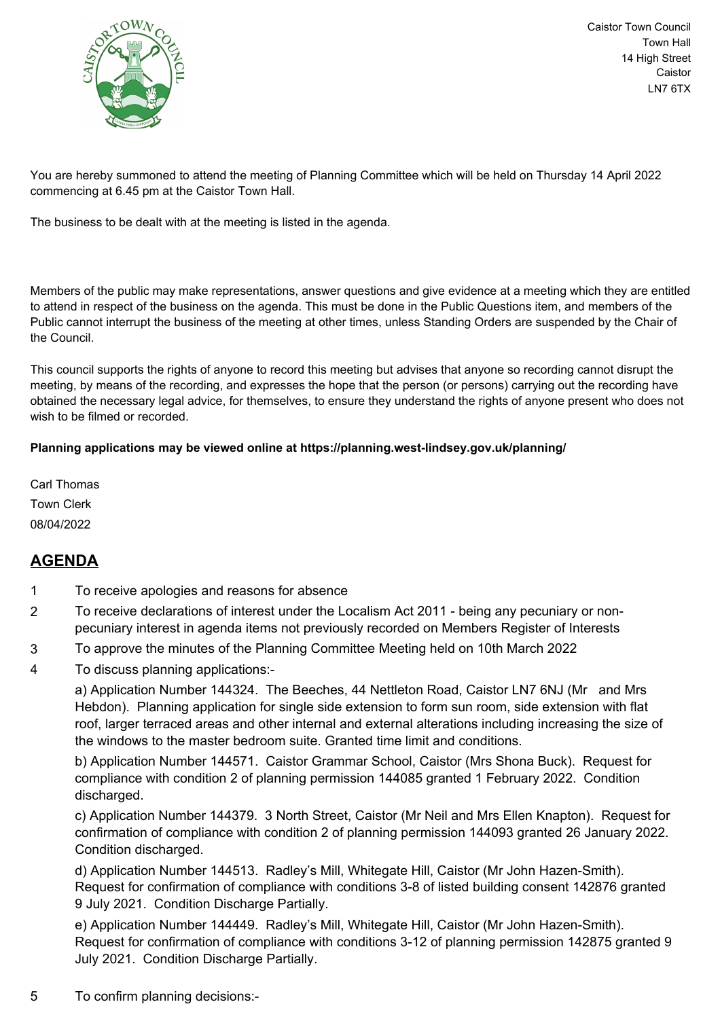

Caistor Town Council Town Hall 14 High Street Caistor LN7 6TX

You are hereby summoned to attend the meeting of Planning Committee which will be held on Thursday 14 April 2022 commencing at 6.45 pm at the Caistor Town Hall.

The business to be dealt with at the meeting is listed in the agenda.

Members of the public may make representations, answer questions and give evidence at a meeting which they are entitled to attend in respect of the business on the agenda. This must be done in the Public Questions item, and members of the Public cannot interrupt the business of the meeting at other times, unless Standing Orders are suspended by the Chair of the Council.

This council supports the rights of anyone to record this meeting but advises that anyone so recording cannot disrupt the meeting, by means of the recording, and expresses the hope that the person (or persons) carrying out the recording have obtained the necessary legal advice, for themselves, to ensure they understand the rights of anyone present who does not wish to be filmed or recorded.

## **Planning applications may be viewed online at https://planning.west-lindsey.gov.uk/planning/**

Carl Thomas Town Clerk 08/04/2022

## **AGENDA**

- 1 To receive apologies and reasons for absence
- 2 To receive declarations of interest under the Localism Act 2011 being any pecuniary or nonpecuniary interest in agenda items not previously recorded on Members Register of Interests
- 3 To approve the minutes of the Planning Committee Meeting held on 10th March 2022
- 4 To discuss planning applications:-

a) Application Number 144324. The Beeches, 44 Nettleton Road, Caistor LN7 6NJ (Mr and Mrs Hebdon). Planning application for single side extension to form sun room, side extension with flat roof, larger terraced areas and other internal and external alterations including increasing the size of the windows to the master bedroom suite. Granted time limit and conditions.

b) Application Number 144571. Caistor Grammar School, Caistor (Mrs Shona Buck). Request for compliance with condition 2 of planning permission 144085 granted 1 February 2022. Condition discharged.

c) Application Number 144379. 3 North Street, Caistor (Mr Neil and Mrs Ellen Knapton). Request for confirmation of compliance with condition 2 of planning permission 144093 granted 26 January 2022. Condition discharged.

d) Application Number 144513. Radley's Mill, Whitegate Hill, Caistor (Mr John Hazen-Smith). Request for confirmation of compliance with conditions 3-8 of listed building consent 142876 granted 9 July 2021. Condition Discharge Partially.

e) Application Number 144449. Radley's Mill, Whitegate Hill, Caistor (Mr John Hazen-Smith). Request for confirmation of compliance with conditions 3-12 of planning permission 142875 granted 9 July 2021. Condition Discharge Partially.